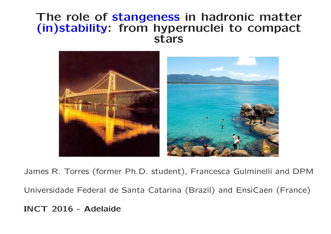#### The role of stangeness in hadronic matter (in)stability: from hypernuclei to compact stars



James R. Torres (former Ph.D. student), Francesca Gulminelli and DPM

Universidade Federal de Santa Catarina (Brazil) and EnsiCaen (France)

INCT <sup>2016</sup> - Adelaide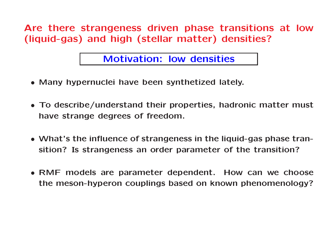Are there strangeness driven phase transitions at low(liquid-gas) and high (stellar matter) densities?

Motivation: low densities

- Many hypernuclei have been synthetized lately.
- To describe/understand their properties, hadronic matter must have strange degrees of freedom.
- What's the influence of strangeness in the liquid-gas phase transition? Is strangeness an order parameter of the transition?
- RMF models are parameter dependent. How can we choosethe meson-hyperon couplings based on known phenomenology?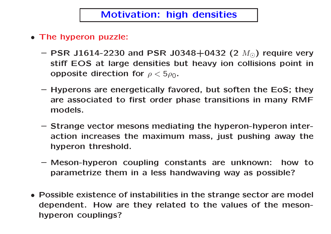#### Motivation: high densities

- The hyperon puzzle:
	- PSR J1614-2230 and PSR J0348 $+$ 0432 (2  $M_{\odot}$ ) require very stiff EOS at large densities but heavy ion collisions point inopposite direction for  $\rho < 5 \rho_{\rm O}.$
	- Hyperons are energetically favored, but soften the EoS; they are associated to first order phase transitions in many RMFmodels.
	- Strange vector mesons mediating the hyperon-hyperon interaction increases the maximum mass, just pushing away thehyperon threshold.
	- Meson-hyperon coupling constants are unknown: how toparametrize them in <sup>a</sup> less handwaving way as possible?
- Possible existence of instabilities in the strange sector are model dependent. How are they related to the values of the mesonhyperon couplings?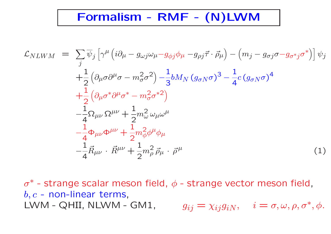# Formalism - RMF - (N)LWM

$$
\mathcal{L}_{NLWM} = \sum_{j} \overline{\psi}_{j} \left[ \gamma^{\mu} \left( i \partial_{\mu} - g_{\omega j} \omega_{\mu} - g_{\phi j} \phi_{\mu} - g_{\rho j} \overrightarrow{\tau} \cdot \overrightarrow{\rho}_{\mu} \right) - \left( m_{j} - g_{\sigma j} \sigma - g_{\sigma \ast j} \sigma^{\ast} \right) \right] \psi_{j} \n+ \frac{1}{2} \left( \partial_{\mu} \sigma \partial^{\mu} \sigma - m_{\sigma}^{2} \sigma^{2} \right) - \frac{1}{3} b M_{N} \left( g_{\sigma N} \sigma \right)^{3} - \frac{1}{4} c \left( g_{\sigma N} \sigma \right)^{4} \n+ \frac{1}{2} \left( \partial_{\mu} \sigma^{\ast} \partial^{\mu} \sigma^{\ast} - m_{\sigma}^{2} \sigma^{\ast 2} \right) \n- \frac{1}{4} \Omega_{\mu\nu} \Omega^{\mu\nu} + \frac{1}{2} m_{\omega}^{2} \omega_{\mu} \omega^{\mu} \n- \frac{1}{4} \Phi_{\mu\nu} \Phi^{\mu\nu} + \frac{1}{2} m_{\phi}^{2} \phi^{\mu} \phi_{\mu} \n- \frac{1}{4} \vec{R}_{\mu\nu} \cdot \vec{R}^{\mu\nu} + \frac{1}{2} m_{\rho}^{2} \vec{\rho}_{\mu} \cdot \vec{\rho}^{\mu}
$$
\n(1)

 $\sigma^*$  - strange scalar meson field,  $\phi$  - strange vector meson field,  $b, c$  - non-linear terms, LWM - QHII, NLWM - GM1,  $g_{ij} = \chi_{ij} g_{iN}, \quad i = \sigma, \omega, \rho, \sigma^*, \phi.$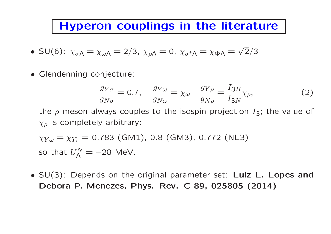#### Hyperon couplings in the literature

• SU(6): 
$$
\chi_{\sigma\Lambda} = \chi_{\omega\Lambda} = 2/3
$$
,  $\chi_{\rho\Lambda} = 0$ ,  $\chi_{\sigma^*\Lambda} = \chi_{\Phi\Lambda} = \sqrt{2}/3$ 

• Glendenning conjecture:

$$
\frac{g_{Y\sigma}}{g_{N\sigma}} = 0.7, \quad \frac{g_{Y\omega}}{g_{N\omega}} = \chi_{\omega} \quad \frac{g_{Y\rho}}{g_{N\rho}} = \frac{I_{3B}}{I_{3N}} \chi_{\rho},\tag{2}
$$

the  $\rho$  meson always couples to the isospin projection  $I_3$ ; the value of  $\chi_{\rho}$  is completely arbitrary:

 $\chi_{Y\omega}=\chi_{Y_\rho}=$  0.783 (GM1), 0.8 (GM3), 0.772 (NL3) so that  $U_{\mathsf{\Lambda}}^N$  $N_{\Lambda}^{\text{IV}}=-28$  MeV.

• SU(3): Depends on the original parameter set: Luiz L. Lopes andDebora P. Menezes, Phys. Rev. <sup>C</sup> 89, <sup>025805</sup> (2014)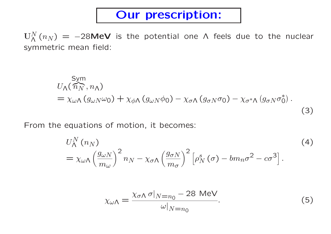### Our prescription:

 $\mathrm{U}_{\mathsf{\Lambda}}^N\left(n_N\right)\,=\,-28$ MeV is the potential one  $\mathsf{\Lambda}$  feels due to the nuclear<br>symmetric mean field: symmetric mean field:

$$
U_{\Lambda}(\tilde{n}_{N}^{*}, n_{\Lambda})
$$
  
=  $\chi_{\omega\Lambda}(g_{\omega N}\omega_{0}) + \chi_{\phi\Lambda}(g_{\omega N}\phi_{0}) - \chi_{\sigma\Lambda}(g_{\sigma N}\sigma_{0}) - \chi_{\sigma^{*}\Lambda}(g_{\sigma N}\sigma_{0}^{*}).$  (3)

From the equations of motion, it becomes:

$$
U_{\Lambda}^{N}(n_{N}) = \chi_{\omega\Lambda} \left(\frac{g_{\omega N}}{m_{\omega}}\right)^{2} n_{N} - \chi_{\sigma\Lambda} \left(\frac{g_{\sigma N}}{m_{\sigma}}\right)^{2} \left[\rho_{N}^{s}(\sigma) - bm_{n}\sigma^{2} - c\sigma^{3}\right].
$$
\n(4)

$$
\chi_{\omega\Lambda} = \frac{\chi_{\sigma\Lambda} \sigma|_{N=n_0} - 28 \text{ MeV}}{\omega|_{N=n_0}}.
$$
 (5)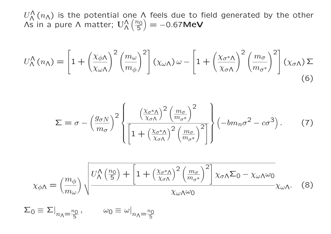$U_{\Lambda}^{\Lambda}(n_{\Lambda})$  is the potential one  $\Lambda$  feels due to field generated by the other<br>As in a pure A matter:  $\Pi^{\Lambda}(n_{0}) = -0.67$ MeV  $\Lambda$ s in a pure  $\Lambda$  matter;  $U^{\Lambda}_{\Lambda}\left(\frac{n_0}{5}\right) = -0.67$ MeV

$$
U_{\Lambda}^{\Lambda}(n_{\Lambda}) = \left[1 + \left(\frac{\chi_{\phi\Lambda}}{\chi_{\omega\Lambda}}\right)^2 \left(\frac{m_{\omega}}{m_{\phi}}\right)^2\right] (\chi_{\omega\Lambda}) \,\omega - \left[1 + \left(\frac{\chi_{\sigma^*\Lambda}}{\chi_{\sigma\Lambda}}\right)^2 \left(\frac{m_{\sigma}}{m_{\sigma^*}}\right)^2\right] (\chi_{\sigma\Lambda}) \,\Sigma\tag{6}
$$

$$
\Sigma = \sigma - \left(\frac{g_{\sigma N}}{m_{\sigma}}\right)^2 \left\{ \frac{\left(\frac{\chi_{\sigma} *_{\Lambda}}{\chi_{\sigma \Lambda}}\right)^2 \left(\frac{m_{\sigma}}{m_{\sigma^*}}\right)^2}{\left[1 + \left(\frac{\chi_{\sigma} *_{\Lambda}}{\chi_{\sigma \Lambda}}\right)^2 \left(\frac{m_{\sigma}}{m_{\sigma^*}}\right)^2\right]} \right\} \left(-b m_n \sigma^2 - c \sigma^3\right). \tag{7}
$$

$$
\chi_{\phi\Lambda} = \left(\frac{m_{\phi}}{m_{\omega}}\right) \sqrt{\frac{U_{\Lambda}^{\Lambda}\left(\frac{n_{0}}{5}\right) + \left[1 + \left(\frac{\chi_{\sigma}*\Lambda}{\chi_{\sigma\Lambda}}\right)^{2}\left(\frac{m_{\sigma}}{m_{\sigma}*\right)^{2}}\right]\chi_{\sigma\Lambda}\Sigma_{0} - \chi_{\omega\Lambda}\omega_{0}}\chi_{\omega\Lambda}. \tag{8}
$$

 $\Sigma_0 \equiv \left.\Sigma\right|_{n_{\text{$\Lambda$}}=\frac{n_0}{5}}$  $\omega_0 \equiv \left. \omega \right|_{n_{\Lambda} = \frac{n_0}{5}}$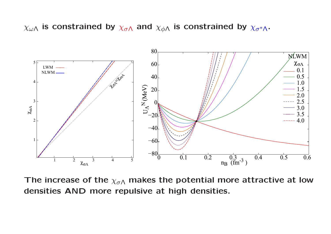$\chi_{\omega}{}_{\mathsf{\Lambda}}$  is constrained by  $\chi_{\sigma}{}_{\mathsf{\Lambda}}$  and  $\chi_{\phi}{}_{\mathsf{\Lambda}}$  is constrained by  $\chi_{\sigma^*\mathsf{\Lambda}}{}_{\mathsf{\Lambda}}$ .



The increase of the  $\chi_{\sigma\Lambda}$  makes the potential more attractive at low densities AND more repulsive at high densities.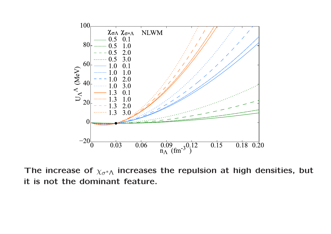

The increase of  $\chi_{\sigma^*\Lambda}$  increases the repulsion at high densities, but it is not the dominant feature.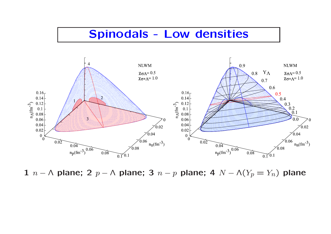### Spinodals - Low densities



 $\textbf{1}$   $n-\Lambda$  plane; 2  $p-\Lambda$  plane; 3  $n-p$  plane; 4  $N-\Lambda$  $-\Lambda(Y_p=Y_n)$  plane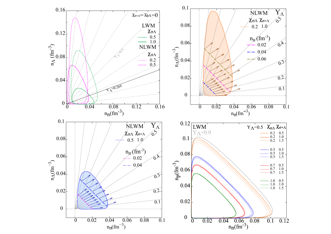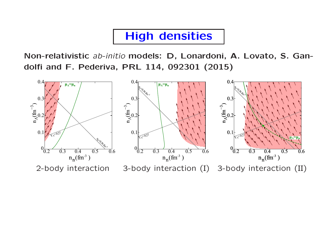High densities

Non-relativistic ab-initio models: D, Lonardoni, A. Lovato, S. Gandolfi and F. Pederiva, PRL 114, <sup>092301</sup> (2015)

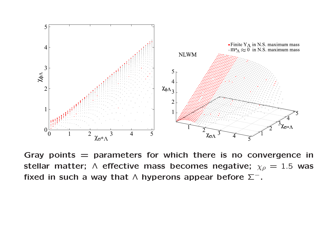

Gray points  $=$  parameters for which there is no convergence in stellar matter; A effective mass becomes negative;  $\chi_\rho=1.5$  was fixed in such a way that  $\wedge$  hyperons appear before  $\Sigma^-$ .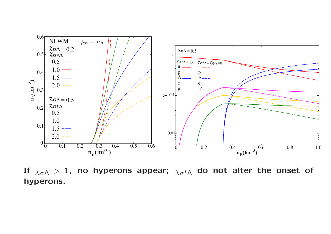

If  $\chi_{\sigma\Lambda}>1$ , no hyperons appear;  $\chi_{\sigma^*\Lambda}$  do not alter the onset of<br>. hyperons.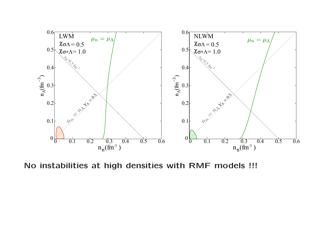

No instabilities at high densities with RMF models !!!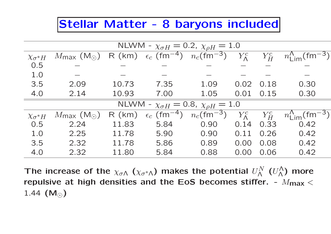# Stellar Matter - <sup>8</sup> baryons included

| NLWM - $\chi_{\sigma H} = 0.2$ , $\chi_{\rho H} = 1.0$ |                                                     |          |                                                                   |                                |                   |         |                                                     |
|--------------------------------------------------------|-----------------------------------------------------|----------|-------------------------------------------------------------------|--------------------------------|-------------------|---------|-----------------------------------------------------|
| $\chi_{\sigma^* H}$                                    | $M_{\text{max}}$ (M <sub><math>\odot</math></sub> ) |          | R (km) $\epsilon_c$ (fm <sup>-4</sup> ) $n_c$ (fm <sup>-3</sup> ) |                                | $Y^c_{\Lambda}$   | $Y_H^c$ | $n_{\text{lim}}^{\text{A}}(\text{fm}^{-3})$         |
| 0.5                                                    |                                                     |          |                                                                   |                                |                   |         |                                                     |
| 1.0                                                    |                                                     |          |                                                                   |                                |                   |         |                                                     |
| 3.5                                                    | 2.09                                                | 10.73    | 7.35                                                              | 1.09                           | 0.02              | 0.18    | 0.30                                                |
| 4.0                                                    | 2.14                                                | 10.93    | 7.00                                                              | 1.05                           | 0.01              | 0.15    | 0.30                                                |
| NLWM - $\chi_{\sigma H} = 0.8$ , $\chi_{\rho H} = 1.0$ |                                                     |          |                                                                   |                                |                   |         |                                                     |
| $\chi_{\sigma^*H}$                                     | $M_{\text{max}}$ (M <sub>o</sub> )                  | $R$ (km) | $\epsilon_c$ (fm <sup>-4</sup> )                                  | $n_c$ (fm $\overline{^{-3}}$ ) | $Y_{\lambda}^{c}$ | $Y_H^c$ | $n_{\text{Lim}}^{\prime\prime}$ (fm <sup>-3</sup> ) |
| 0.5                                                    | 2.24                                                | 11.83    | 5.84                                                              | 0.90                           | 0.14              | 0.33    | 0.42                                                |
| 1.0                                                    | 2.25                                                | 11.78    | 5.90                                                              | 0.90                           | 0.11              | 0.26    | 0.42                                                |
| 3.5                                                    | 2.32                                                | 11.78    | 5.86                                                              | 0.89                           | 0.00              | 0.08    | 0.42                                                |
| 4.0                                                    | 2.32                                                | 11.80    | 5.84                                                              | 0.88                           | 0.00              | 0.06    | 0.42                                                |
|                                                        |                                                     |          |                                                                   |                                |                   |         |                                                     |

The increase of the  $\chi_{\sigma}$  (  $\chi_{\sigma^*}$ onsities and the EeS hesemes stiff  $_\Lambda$ ) makes the potential  $U_\mathsf{\Lambda}^N$  $N \begin{array}{l} N \ \Lambda \end{array}$ repulsive at high densities and the EoS becomes stiffer. -  $M_{\bm{\mathsf{max}}} <$  Λ $\bigwedge\limits_{M}^{N}$  more 1.44  $(\mathsf{M}_{\odot})$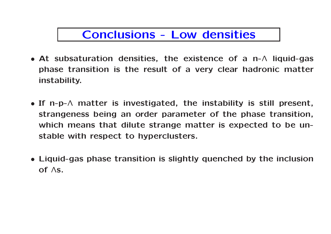# Conclusions - Low densities

- At subsaturation densities, the existence of <sup>a</sup> n-Λ liquid-gas phase transition is the result of <sup>a</sup> very clear hadronic matter instability.
- If n-p-Λ matter is investigated, the instability is still present, strangeness being an order parameter of the phase transition, which means that dilute strange matter is expected to be unstable with respect to hyperclusters.
- Liquid-gas phase transition is slightly quenched by the inclusionof Λs.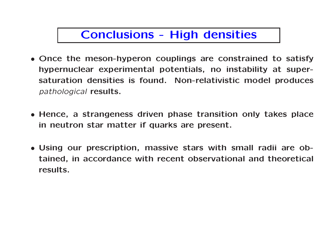# Conclusions - High densities

- Once the meson-hyperon couplings are constrained to satisfyhypernuclear experimental potentials, no instability at supersaturation densities is found. Non-relativistic model producespathological results.
- Hence, <sup>a</sup> strangeness driven phase transition only takes placein neutron star matter if quarks are present.
- Using our prescription, massive stars with small radii are obtained, in accordance with recent observational and theoretical results.